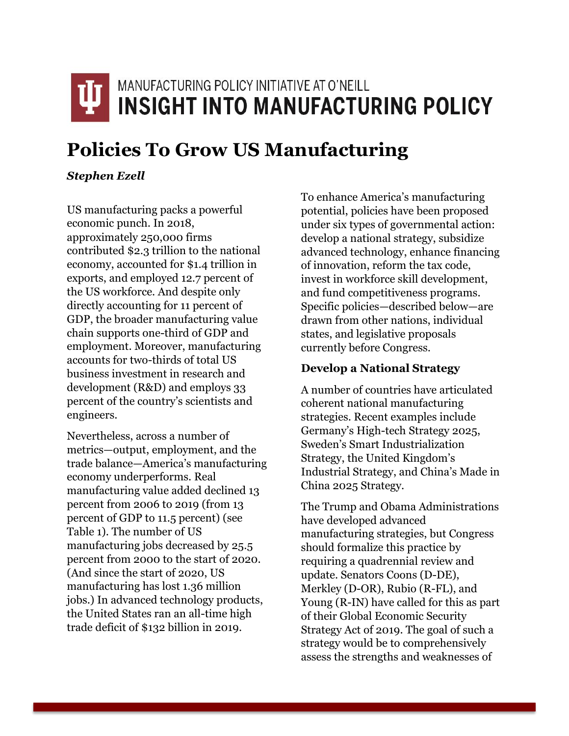# MANUFACTURING POLICY INITIATIVE AT O'NEILL **INSIGHT INTO MANUFACTURING POLICY**

# **Policies To Grow US Manufacturing**

## *Stephen Ezell*

US manufacturing packs a powerful economic punch. In 2018, approximately 250,000 firms contributed \$2.3 trillion to the national economy, accounted for \$1.4 trillion in exports, and employed 12.7 percent of the US workforce. And despite only directly accounting for 11 percent of GDP, the broader manufacturing value chain supports one-third of GDP and employment. Moreover, manufacturing accounts for two-thirds of total US business investment in research and development (R&D) and employs 33 percent of the country's scientists and engineers.

Nevertheless, across a number of metrics—output, employment, and the trade balance—America's manufacturing economy underperforms. Real manufacturing value added declined 13 percent from 2006 to 2019 (from 13 percent of GDP to 11.5 percent) (see Table 1). The number of US manufacturing jobs decreased by 25.5 percent from 2000 to the start of 2020. (And since the start of 2020, US manufacturing has lost 1.36 million jobs.) In advanced technology products, the United States ran an all-time high trade deficit of \$132 billion in 2019.

To enhance America's manufacturing potential, policies have been proposed under six types of governmental action: develop a national strategy, subsidize advanced technology, enhance financing of innovation, reform the tax code, invest in workforce skill development, and fund competitiveness programs. Specific policies—described below—are drawn from other nations, individual states, and legislative proposals currently before Congress.

# **Develop a National Strategy**

A number of countries have articulated coherent national manufacturing strategies. Recent examples include Germany's High-tech Strategy 2025, Sweden's Smart Industrialization Strategy, the United Kingdom's Industrial Strategy, and China's Made in China 2025 Strategy.

The Trump and Obama Administrations have developed advanced manufacturing strategies, but Congress should formalize this practice by requiring a quadrennial review and update. Senators Coons (D-DE), Merkley (D-OR), Rubio (R-FL), and Young (R-IN) have called for this as part of their Global Economic Security Strategy Act of 2019. The goal of such a strategy would be to comprehensively assess the strengths and weaknesses of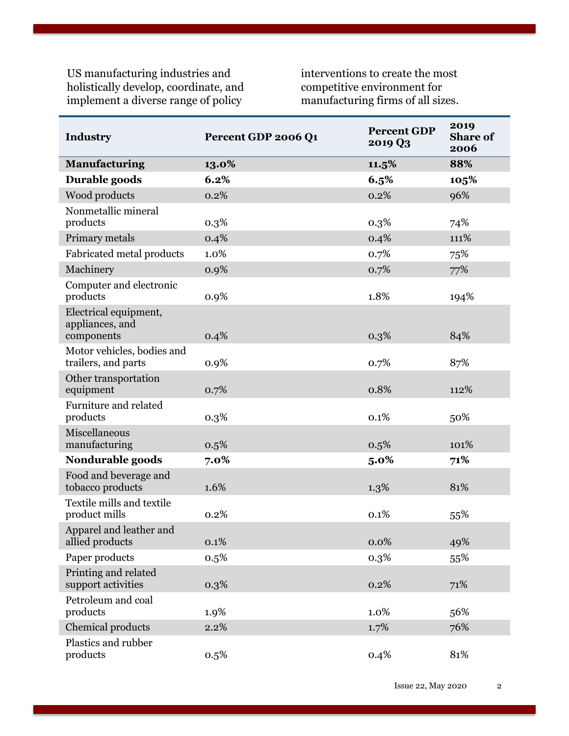US manufacturing industries and holistically develop, coordinate, and implement a diverse range of policy

interventions to create the most competitive environment for manufacturing firms of all sizes.

| <b>Industry</b>                                   | Percent GDP 2006 Q1 | <b>Percent GDP</b><br>2019 Q3 | 2019<br><b>Share of</b><br>2006 |
|---------------------------------------------------|---------------------|-------------------------------|---------------------------------|
| <b>Manufacturing</b>                              | 13.0%               | 11.5%                         | 88%                             |
| Durable goods                                     | 6.2%                | 6.5%                          | 105%                            |
| Wood products                                     | 0.2%                | 0.2%                          | 96%                             |
| Nonmetallic mineral<br>products                   | 0.3%                | 0.3%                          | 74%                             |
| Primary metals                                    | 0.4%                | 0.4%                          | 111%                            |
| Fabricated metal products                         | 1.0%                | 0.7%                          | 75%                             |
| Machinery                                         | 0.9%                | 0.7%                          | 77%                             |
| Computer and electronic<br>products               | 0.9%                | 1.8%                          | 194%                            |
| Electrical equipment,<br>appliances, and          |                     |                               |                                 |
| components                                        | 0.4%                | 0.3%                          | 84%                             |
| Motor vehicles, bodies and<br>trailers, and parts | 0.9%                | 0.7%                          | 87%                             |
| Other transportation<br>equipment                 | 0.7%                | 0.8%                          | 112%                            |
| Furniture and related<br>products                 | 0.3%                | 0.1%                          | 50%                             |
| Miscellaneous<br>manufacturing                    | 0.5%                | 0.5%                          | 101%                            |
| Nondurable goods                                  | 7.0%                | $5.0\%$                       | 71%                             |
| Food and beverage and<br>tobacco products         | 1.6%                | 1.3%                          | 81%                             |
| Textile mills and textile<br>product mills        | 0.2%                | 0.1%                          | 55%                             |
| Apparel and leather and<br>allied products        | 0.1%                | 0.0%                          | 49%                             |
| Paper products                                    | 0.5%                | 0.3%                          | 55%                             |
| Printing and related<br>support activities        | 0.3%                | 0.2%                          | 71%                             |
| Petroleum and coal<br>products                    | 1.9%                | 1.0%                          | 56%                             |
| Chemical products                                 | 2.2%                | 1.7%                          | 76%                             |
| Plastics and rubber<br>products                   | 0.5%                | 0.4%                          | 81%                             |

Issue 22, May 2020 2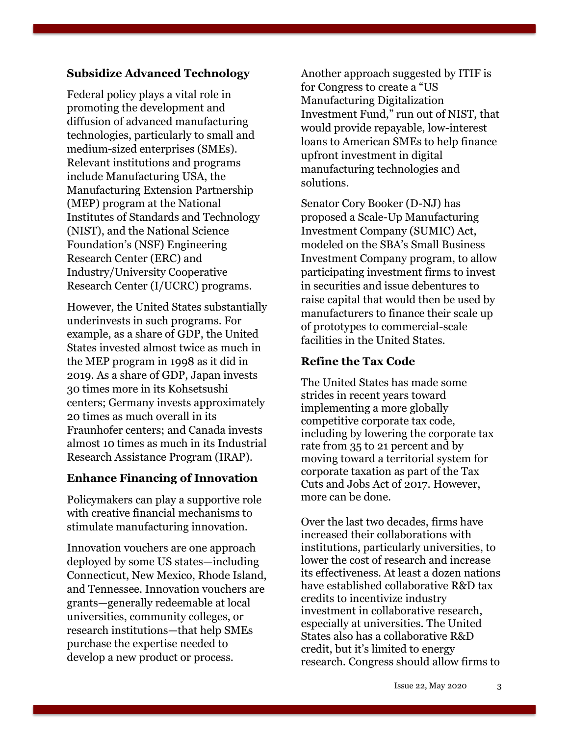### **Subsidize Advanced Technology**

Federal policy plays a vital role in promoting the development and diffusion of advanced manufacturing technologies, particularly to small and medium-sized enterprises (SMEs). Relevant institutions and programs include Manufacturing USA, the Manufacturing Extension Partnership (MEP) program at the National Institutes of Standards and Technology (NIST), and the National Science Foundation's (NSF) Engineering Research Center (ERC) and Industry/University Cooperative Research Center (I/UCRC) programs.

However, the United States substantially underinvests in such programs. For example, as a share of GDP, the United States invested almost twice as much in the MEP program in 1998 as it did in 2019. As a share of GDP, Japan invests 30 times more in its Kohsetsushi centers; Germany invests approximately 20 times as much overall in its Fraunhofer centers; and Canada invests almost 10 times as much in its Industrial Research Assistance Program (IRAP).

### **Enhance Financing of Innovation**

Policymakers can play a supportive role with creative financial mechanisms to stimulate manufacturing innovation.

Innovation vouchers are one approach deployed by some US states—including Connecticut, New Mexico, Rhode Island, and Tennessee. Innovation vouchers are grants—generally redeemable at local universities, community colleges, or research institutions—that help SMEs purchase the expertise needed to develop a new product or process.

Another approach suggested by ITIF is for Congress to create a "US Manufacturing Digitalization Investment Fund," run out of NIST, that would provide repayable, low-interest loans to American SMEs to help finance upfront investment in digital manufacturing technologies and solutions.

Senator Cory Booker (D-NJ) has proposed a Scale-Up Manufacturing Investment Company (SUMIC) Act, modeled on the SBA's Small Business Investment Company program, to allow participating investment firms to invest in securities and issue debentures to raise capital that would then be used by manufacturers to finance their scale up of prototypes to commercial-scale facilities in the United States.

## **Refine the Tax Code**

The United States has made some strides in recent years toward implementing a more globally competitive corporate tax code, including by lowering the corporate tax rate from 35 to 21 percent and by moving toward a territorial system for corporate taxation as part of the Tax Cuts and Jobs Act of 2017. However, more can be done.

Over the last two decades, firms have increased their collaborations with institutions, particularly universities, to lower the cost of research and increase its effectiveness. At least a dozen nations have established collaborative R&D tax credits to incentivize industry investment in collaborative research, especially at universities. The United States also has a collaborative R&D credit, but it's limited to energy research. Congress should allow firms to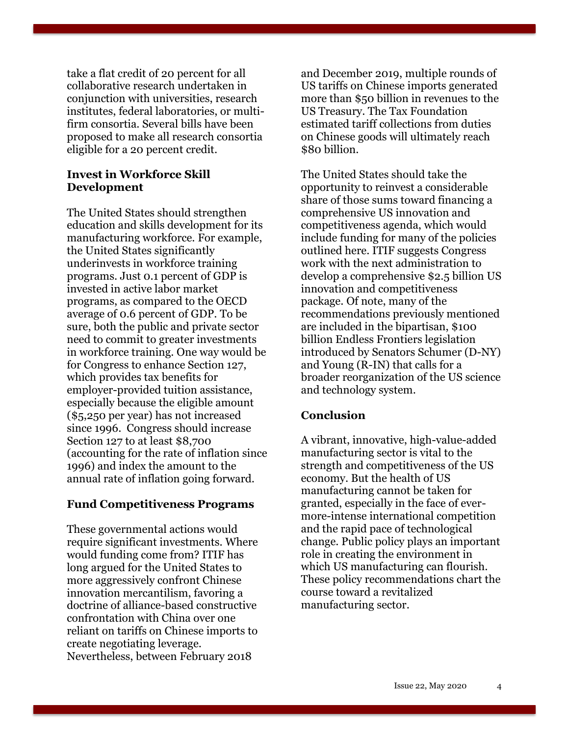take a flat credit of 20 percent for all collaborative research undertaken in conjunction with universities, research institutes, federal laboratories, or multifirm consortia. Several bills have been proposed to make all research consortia eligible for a 20 percent credit.

#### **Invest in Workforce Skill Development**

The United States should strengthen education and skills development for its manufacturing workforce. For example, the United States significantly underinvests in workforce training programs. Just 0.1 percent of GDP is invested in active labor market programs, as compared to the OECD average of 0.6 percent of GDP. To be sure, both the public and private sector need to commit to greater investments in workforce training. One way would be for Congress to enhance Section 127, which provides tax benefits for employer-provided tuition assistance, especially because the eligible amount (\$5,250 per year) has not increased since 1996. Congress should increase Section 127 to at least \$8,700 (accounting for the rate of inflation since 1996) and index the amount to the annual rate of inflation going forward.

#### **Fund Competitiveness Programs**

These governmental actions would require significant investments. Where would funding come from? ITIF has long argued for the United States to more aggressively confront Chinese innovation mercantilism, favoring a doctrine of alliance-based constructive confrontation with China over one reliant on tariffs on Chinese imports to create negotiating leverage. Nevertheless, between February 2018

and December 2019, multiple rounds of US tariffs on Chinese imports generated more than \$50 billion in revenues to the US Treasury. The Tax Foundation estimated tariff collections from duties on Chinese goods will ultimately reach \$80 billion.

The United States should take the opportunity to reinvest a considerable share of those sums toward financing a comprehensive US innovation and competitiveness agenda, which would include funding for many of the policies outlined here. ITIF suggests Congress work with the next administration to develop a comprehensive \$2.5 billion US innovation and competitiveness package. Of note, many of the recommendations previously mentioned are included in the bipartisan, \$100 billion Endless Frontiers legislation introduced by Senators Schumer (D-NY) and Young (R-IN) that calls for a broader reorganization of the US science and technology system.

#### **Conclusion**

A vibrant, innovative, high-value-added manufacturing sector is vital to the strength and competitiveness of the US economy. But the health of US manufacturing cannot be taken for granted, especially in the face of evermore-intense international competition and the rapid pace of technological change. Public policy plays an important role in creating the environment in which US manufacturing can flourish. These policy recommendations chart the course toward a revitalized manufacturing sector.